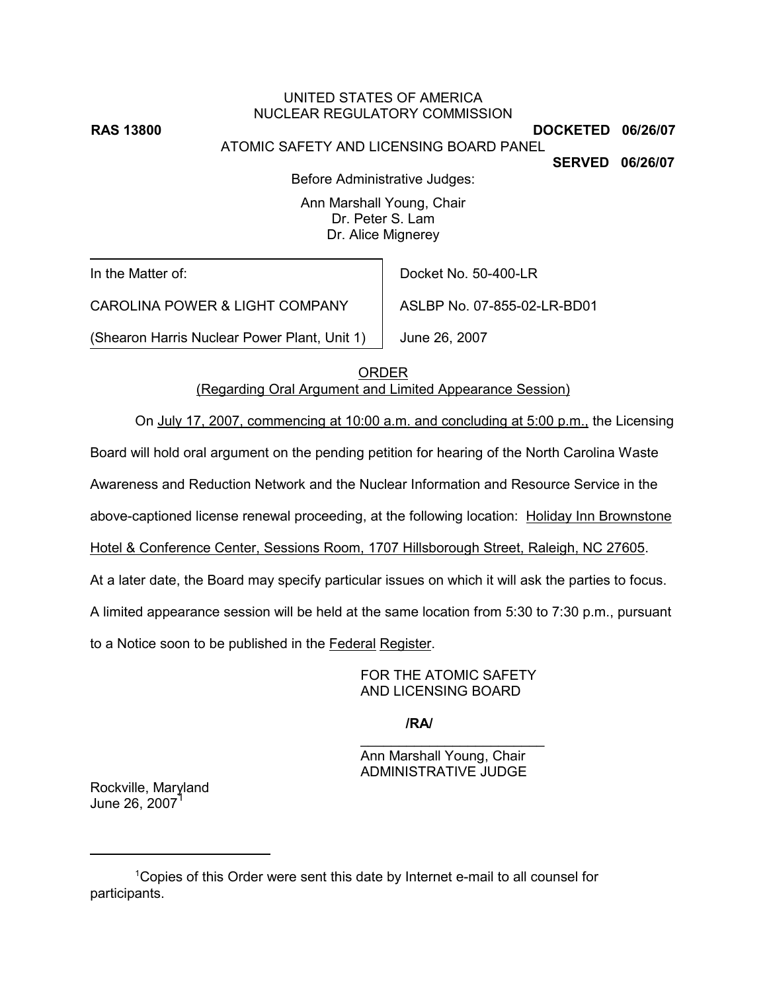UNITED STATES OF AMERICA NUCLEAR REGULATORY COMMISSION **RAS 13800** DOCKETED 06/26/07 ATOMIC SAFETY AND LICENSING BOARD PANEL

**SERVED 06/26/07**

Before Administrative Judges:

Ann Marshall Young, Chair Dr. Peter S. Lam Dr. Alice Mignerey

In the Matter of:

Docket No. 50-400-LR

ASLBP No. 07-855-02-LR-BD01

CAROLINA POWER & LIGHT COMPANY

(Shearon Harris Nuclear Power Plant, Unit 1)

June 26, 2007

ORDER

(Regarding Oral Argument and Limited Appearance Session)

On July 17, 2007, commencing at 10:00 a.m. and concluding at 5:00 p.m., the Licensing

Board will hold oral argument on the pending petition for hearing of the North Carolina Waste

Awareness and Reduction Network and the Nuclear Information and Resource Service in the

above-captioned license renewal proceeding, at the following location: Holiday Inn Brownstone

Hotel & Conference Center, Sessions Room, 1707 Hillsborough Street, Raleigh, NC 27605.

At a later date, the Board may specify particular issues on which it will ask the parties to focus.

A limited appearance session will be held at the same location from 5:30 to 7:30 p.m., pursuant

to a Notice soon to be published in the Federal Register.

FOR THE ATOMIC SAFETY AND LICENSING BOARD

**/RA/**

\_\_\_\_\_\_\_\_\_\_\_\_\_\_\_\_\_\_\_\_\_\_\_\_ Ann Marshall Young, Chair ADMINISTRATIVE JUDGE

Rockville, Maryland June 26, 2007<sup>1</sup>

<sup>1</sup>Copies of this Order were sent this date by Internet e-mail to all counsel for participants.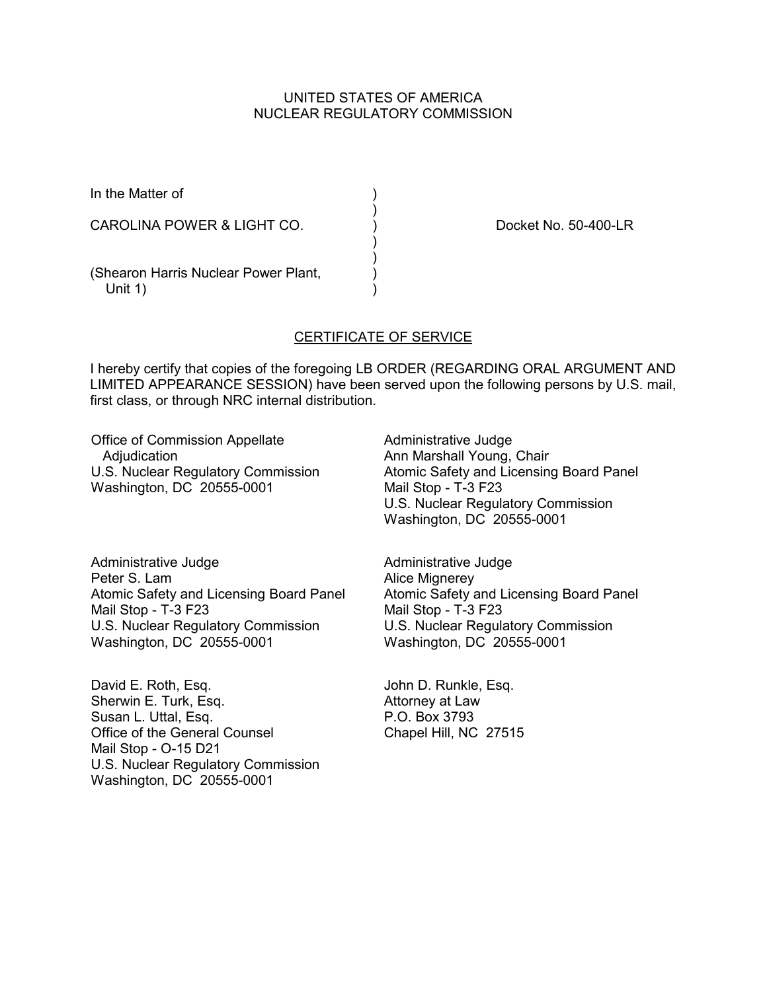## UNITED STATES OF AMERICA NUCLEAR REGULATORY COMMISSION

)

 )  $\overline{\mathcal{E}}$ 

In the Matter of (1)

CAROLINA POWER & LIGHT CO. (a) (b) Docket No. 50-400-LR

(Shearon Harris Nuclear Power Plant, ) Unit  $1$ )

## CERTIFICATE OF SERVICE

I hereby certify that copies of the foregoing LB ORDER (REGARDING ORAL ARGUMENT AND LIMITED APPEARANCE SESSION) have been served upon the following persons by U.S. mail, first class, or through NRC internal distribution.

Office of Commission Appellate **Adjudication** U.S. Nuclear Regulatory Commission Washington, DC 20555-0001

Administrative Judge Ann Marshall Young, Chair Atomic Safety and Licensing Board Panel Mail Stop - T-3 F23 U.S. Nuclear Regulatory Commission Washington, DC 20555-0001

Administrative Judge Peter S. Lam Atomic Safety and Licensing Board Panel Mail Stop - T-3 F23 U.S. Nuclear Regulatory Commission Washington, DC 20555-0001

David E. Roth, Esq. Sherwin E. Turk, Esq. Susan L. Uttal, Esq. Office of the General Counsel Mail Stop - O-15 D21 U.S. Nuclear Regulatory Commission Washington, DC 20555-0001

Administrative Judge Alice Mignerey Atomic Safety and Licensing Board Panel Mail Stop - T-3 F23 U.S. Nuclear Regulatory Commission Washington, DC 20555-0001

John D. Runkle, Esq. Attorney at Law P.O. Box 3793 Chapel Hill, NC 27515